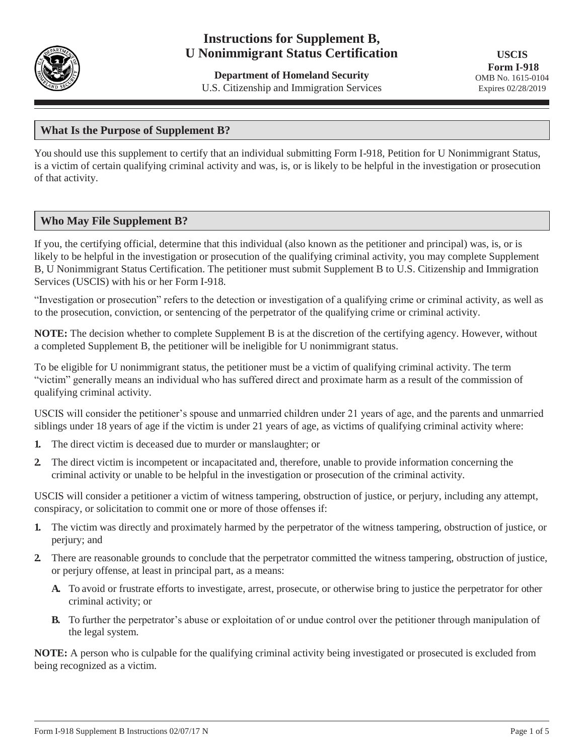

# **Instructions for Supplement B, U Nonimmigrant Status Certification**

**Department of Homeland Security** U.S. Citizenship and Immigration Services

## **What Is the Purpose of Supplement B?**

You should use this supplement to certify that an individual submitting Form I-918, Petition for U Nonimmigrant Status, is a victim of certain qualifying criminal activity and was, is, or is likely to be helpful in the investigation or prosecution of that activity.

## **Who May File Supplement B?**

If you, the certifying official, determine that this individual (also known as the petitioner and principal) was, is, or is likely to be helpful in the investigation or prosecution of the qualifying criminal activity, you may complete Supplement B, U Nonimmigrant Status Certification. The petitioner must submit Supplement B to U.S. Citizenship and Immigration Services (USCIS) with his or her Form I-918.

"Investigation or prosecution" refers to the detection or investigation of a qualifying crime or criminal activity, as well as to the prosecution, conviction, or sentencing of the perpetrator of the qualifying crime or criminal activity.

**NOTE:** The decision whether to complete Supplement B is at the discretion of the certifying agency. However, without a completed Supplement B, the petitioner will be ineligible for U nonimmigrant status.

To be eligible for U nonimmigrant status, the petitioner must be a victim of qualifying criminal activity. The term "victim" generally means an individual who has suffered direct and proximate harm as a result of the commission of qualifying criminal activity.

USCIS will consider the petitioner's spouse and unmarried children under 21 years of age, and the parents and unmarried siblings under 18 years of age if the victim is under 21 years of age, as victims of qualifying criminal activity where:

- **1.** The direct victim is deceased due to murder or manslaughter; or
- **2.** The direct victim is incompetent or incapacitated and, therefore, unable to provide information concerning the criminal activity or unable to be helpful in the investigation or prosecution of the criminal activity.

USCIS will consider a petitioner a victim of witness tampering, obstruction of justice, or perjury, including any attempt, conspiracy, or solicitation to commit one or more of those offenses if:

- **1.** The victim was directly and proximately harmed by the perpetrator of the witness tampering, obstruction of justice, or perjury; and
- **2.** There are reasonable grounds to conclude that the perpetrator committed the witness tampering, obstruction of justice, or perjury offense, at least in principal part, as a means:
	- **A.** To avoid or frustrate efforts to investigate, arrest, prosecute, or otherwise bring to justice the perpetrator for other criminal activity; or
	- **B.** To further the perpetrator's abuse or exploitation of or undue control over the petitioner through manipulation of the legal system.

**NOTE:** A person who is culpable for the qualifying criminal activity being investigated or prosecuted is excluded from being recognized as a victim.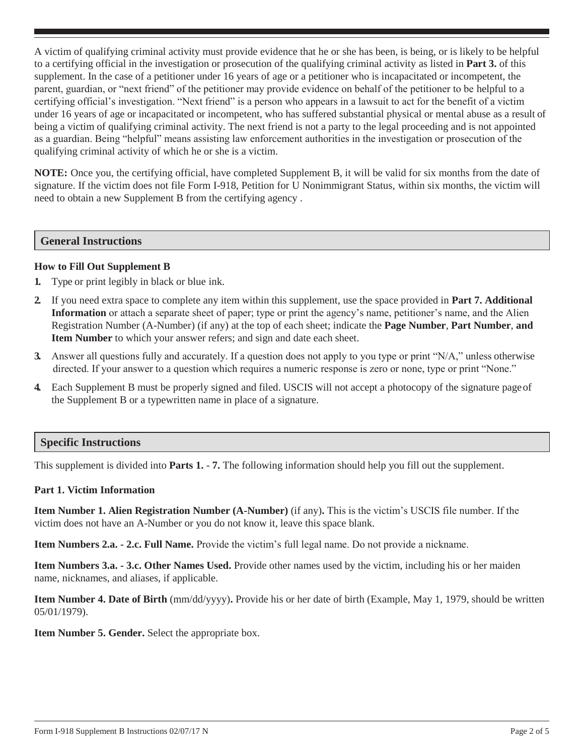A victim of qualifying criminal activity must provide evidence that he or she has been, is being, or is likely to be helpful to a certifying official in the investigation or prosecution of the qualifying criminal activity as listed in **Part 3.** of this supplement. In the case of a petitioner under 16 years of age or a petitioner who is incapacitated or incompetent, the parent, guardian, or "next friend" of the petitioner may provide evidence on behalf of the petitioner to be helpful to a certifying official's investigation. "Next friend" is a person who appears in a lawsuit to act for the benefit of a victim under 16 years of age or incapacitated or incompetent, who has suffered substantial physical or mental abuse as a result of being a victim of qualifying criminal activity. The next friend is not a party to the legal proceeding and is not appointed as a guardian. Being "helpful" means assisting law enforcement authorities in the investigation or prosecution of the qualifying criminal activity of which he or she is a victim.

**NOTE:** Once you, the certifying official, have completed Supplement B, it will be valid for six months from the date of signature. If the victim does not file Form I-918, Petition for U Nonimmigrant Status, within six months, the victim will need to obtain a new Supplement B from the certifying agency .

#### **General Instructions**

#### **How to Fill Out Supplement B**

- **1.** Type or print legibly in black or blue ink.
- **2.** If you need extra space to complete any item within this supplement, use the space provided in **Part 7. Additional Information** or attach a separate sheet of paper; type or print the agency's name, petitioner's name, and the Alien Registration Number (A-Number) (if any) at the top of each sheet; indicate the **Page Number**, **Part Number**, **and Item Number** to which your answer refers; and sign and date each sheet.
- **3.** Answer all questions fully and accurately. If a question does not apply to you type or print "N/A," unless otherwise directed. If your answer to a question which requires a numeric response is zero or none, type or print "None."
- **4.** Each Supplement B must be properly signed and filed. USCIS will not accept a photocopy of the signature pageof the Supplement B or a typewritten name in place of a signature.

## **Specific Instructions**

This supplement is divided into **Parts 1.** - **7.** The following information should help you fill out the supplement.

#### **Part 1. Victim Information**

**Item Number 1. Alien Registration Number (A-Number)** (if any)**.** This is the victim's USCIS file number. If the victim does not have an A-Number or you do not know it, leave this space blank.

**Item Numbers 2.a. - 2.c. Full Name.** Provide the victim's full legal name. Do not provide a nickname.

**Item Numbers 3.a. - 3.c. Other Names Used.** Provide other names used by the victim, including his or her maiden name, nicknames, and aliases, if applicable.

**Item Number 4. Date of Birth** (mm/dd/yyyy)**.** Provide his or her date of birth (Example, May 1, 1979, should be written 05/01/1979).

**Item Number 5. Gender.** Select the appropriate box.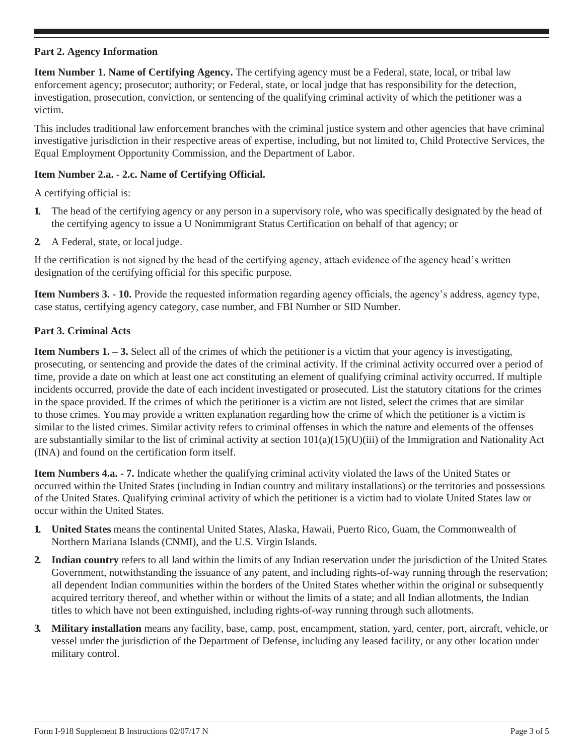#### **Part 2. Agency Information**

**Item Number 1. Name of Certifying Agency.** The certifying agency must be a Federal, state, local, or tribal law enforcement agency; prosecutor; authority; or Federal, state, or local judge that has responsibility for the detection, investigation, prosecution, conviction, or sentencing of the qualifying criminal activity of which the petitioner was a victim.

This includes traditional law enforcement branches with the criminal justice system and other agencies that have criminal investigative jurisdiction in their respective areas of expertise, including, but not limited to, Child Protective Services, the Equal Employment Opportunity Commission, and the Department of Labor.

#### **Item Number 2.a.** - **2.c. Name of Certifying Official.**

A certifying official is:

- **1.** The head of the certifying agency or any person in a supervisory role, who was specifically designated by the head of the certifying agency to issue a U Nonimmigrant Status Certification on behalf of that agency; or
- **2.** A Federal, state, or local judge.

If the certification is not signed by the head of the certifying agency, attach evidence of the agency head's written designation of the certifying official for this specific purpose.

**Item Numbers 3. - 10.** Provide the requested information regarding agency officials, the agency's address, agency type, case status, certifying agency category, case number, and FBI Number or SID Number.

#### **Part 3. Criminal Acts**

**Item Numbers 1. – 3.** Select all of the crimes of which the petitioner is a victim that your agency is investigating, prosecuting, or sentencing and provide the dates of the criminal activity. If the criminal activity occurred over a period of time, provide a date on which at least one act constituting an element of qualifying criminal activity occurred. If multiple incidents occurred, provide the date of each incident investigated or prosecuted. List the statutory citations for the crimes in the space provided. If the crimes of which the petitioner is a victim are not listed, select the crimes that are similar to those crimes. You may provide a written explanation regarding how the crime of which the petitioner is a victim is similar to the listed crimes. Similar activity refers to criminal offenses in which the nature and elements of the offenses are substantially similar to the list of criminal activity at section  $101(a)(15)(U)(iii)$  of the Immigration and Nationality Act (INA) and found on the certification form itself.

**Item Numbers 4.a. - 7.** Indicate whether the qualifying criminal activity violated the laws of the United States or occurred within the United States (including in Indian country and military installations) or the territories and possessions of the United States. Qualifying criminal activity of which the petitioner is a victim had to violate United States law or occur within the United States.

- **1. United States** means the continental United States, Alaska, Hawaii, Puerto Rico, Guam, the Commonwealth of Northern Mariana Islands (CNMI), and the U.S. Virgin Islands.
- **2. Indian country** refers to all land within the limits of any Indian reservation under the jurisdiction of the United States Government, notwithstanding the issuance of any patent, and including rights-of-way running through the reservation; all dependent Indian communities within the borders of the United States whether within the original or subsequently acquired territory thereof, and whether within or without the limits of a state; and all Indian allotments, the Indian titles to which have not been extinguished, including rights-of-way running through such allotments.
- **3. Military installation** means any facility, base, camp, post, encampment, station, yard, center, port, aircraft, vehicle,or vessel under the jurisdiction of the Department of Defense, including any leased facility, or any other location under military control.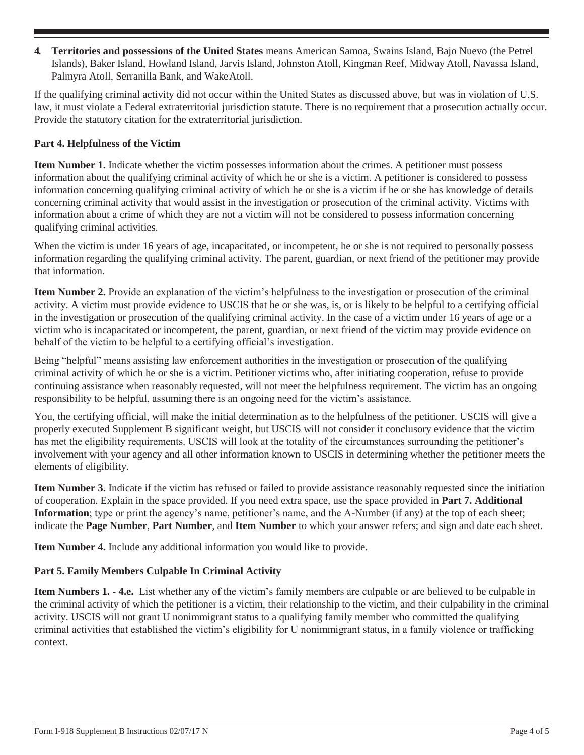**4. Territories and possessions of the United States** means American Samoa, Swains Island, Bajo Nuevo (the Petrel Islands), Baker Island, Howland Island, Jarvis Island, Johnston Atoll, Kingman Reef, Midway Atoll, Navassa Island, Palmyra Atoll, Serranilla Bank, and WakeAtoll.

If the qualifying criminal activity did not occur within the United States as discussed above, but was in violation of U.S. law, it must violate a Federal extraterritorial jurisdiction statute. There is no requirement that a prosecution actually occur. Provide the statutory citation for the extraterritorial jurisdiction.

## **Part 4. Helpfulness of the Victim**

**Item Number 1.** Indicate whether the victim possesses information about the crimes. A petitioner must possess information about the qualifying criminal activity of which he or she is a victim. A petitioner is considered to possess information concerning qualifying criminal activity of which he or she is a victim if he or she has knowledge of details concerning criminal activity that would assist in the investigation or prosecution of the criminal activity. Victims with information about a crime of which they are not a victim will not be considered to possess information concerning qualifying criminal activities.

When the victim is under 16 years of age, incapacitated, or incompetent, he or she is not required to personally possess information regarding the qualifying criminal activity. The parent, guardian, or next friend of the petitioner may provide that information.

**Item Number 2.** Provide an explanation of the victim's helpfulness to the investigation or prosecution of the criminal activity. A victim must provide evidence to USCIS that he or she was, is, or is likely to be helpful to a certifying official in the investigation or prosecution of the qualifying criminal activity. In the case of a victim under 16 years of age or a victim who is incapacitated or incompetent, the parent, guardian, or next friend of the victim may provide evidence on behalf of the victim to be helpful to a certifying official's investigation.

Being "helpful" means assisting law enforcement authorities in the investigation or prosecution of the qualifying criminal activity of which he or she is a victim. Petitioner victims who, after initiating cooperation, refuse to provide continuing assistance when reasonably requested, will not meet the helpfulness requirement. The victim has an ongoing responsibility to be helpful, assuming there is an ongoing need for the victim's assistance.

You, the certifying official, will make the initial determination as to the helpfulness of the petitioner. USCIS will give a properly executed Supplement B significant weight, but USCIS will not consider it conclusory evidence that the victim has met the eligibility requirements. USCIS will look at the totality of the circumstances surrounding the petitioner's involvement with your agency and all other information known to USCIS in determining whether the petitioner meets the elements of eligibility.

**Item Number 3.** Indicate if the victim has refused or failed to provide assistance reasonably requested since the initiation of cooperation. Explain in the space provided. If you need extra space, use the space provided in **Part 7. Additional Information**; type or print the agency's name, petitioner's name, and the A-Number (if any) at the top of each sheet; indicate the **Page Number**, **Part Number**, and **Item Number** to which your answer refers; and sign and date each sheet.

**Item Number 4.** Include any additional information you would like to provide.

# **Part 5. Family Members Culpable In Criminal Activity**

**Item Numbers 1. - 4.e.** List whether any of the victim's family members are culpable or are believed to be culpable in the criminal activity of which the petitioner is a victim, their relationship to the victim, and their culpability in the criminal activity. USCIS will not grant U nonimmigrant status to a qualifying family member who committed the qualifying criminal activities that established the victim's eligibility for U nonimmigrant status, in a family violence or trafficking context.